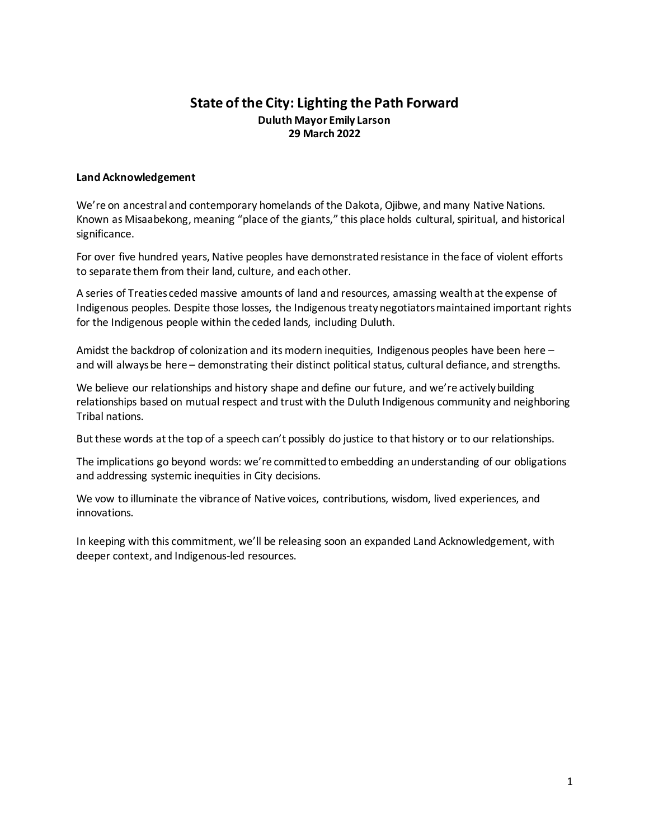# **State of the City: Lighting the Path Forward Duluth Mayor Emily Larson 29 March 2022**

#### **Land Acknowledgement**

We're on ancestral and contemporary homelands of the Dakota, Ojibwe, and many Native Nations. Known as Misaabekong, meaning "place of the giants," this place holds cultural, spiritual, and historical significance.

For over five hundred years, Native peoples have demonstrated resistance in the face of violent efforts to separate them from their land, culture, and each other.

A series of Treaties ceded massive amounts of land and resources, amassing wealth at the expense of Indigenous peoples. Despite those losses, the Indigenous treaty negotiators maintained important rights for the Indigenous people within the ceded lands, including Duluth.

Amidst the backdrop of colonization and its modern inequities, Indigenous peoples have been here – and will always be here – demonstrating their distinct political status, cultural defiance, and strengths.

We believe our relationships and history shape and define our future, and we're actively building relationships based on mutual respect and trust with the Duluth Indigenous community and neighboring Tribal nations.

But these words at the top of a speech can't possibly do justice to that history or to our relationships.

The implications go beyond words: we're committed to embedding an understanding of our obligations and addressing systemic inequities in City decisions.

We vow to illuminate the vibrance of Native voices, contributions, wisdom, lived experiences, and innovations.

In keeping with this commitment, we'll be releasing soon an expanded Land Acknowledgement, with deeper context, and Indigenous-led resources.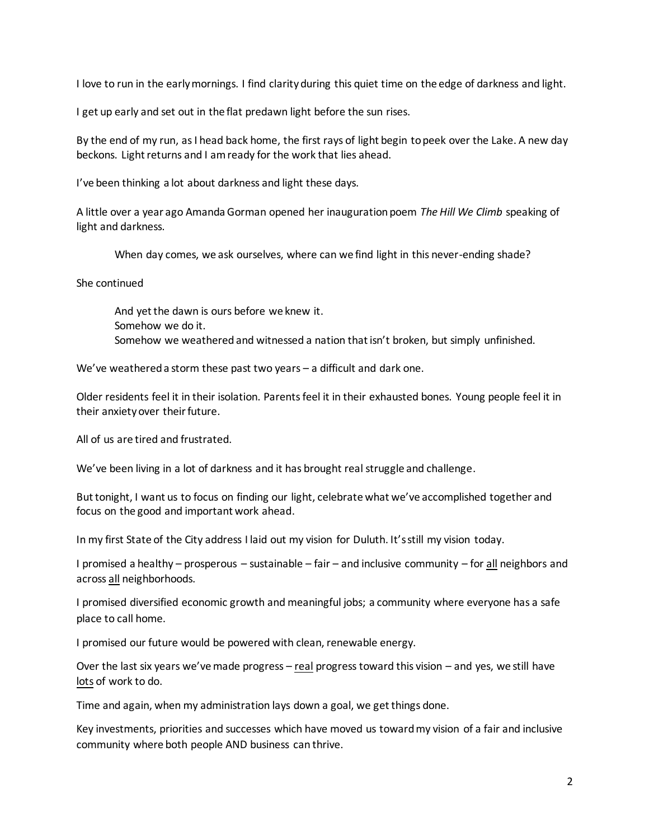I love to run in the early mornings. I find clarity during this quiet time on the edge of darkness and light.

I get up early and set out in the flat predawn light before the sun rises.

By the end of my run, as I head back home, the first rays of light begin to peek over the Lake. A new day beckons. Light returns and I am ready for the work that lies ahead.

I've been thinking a lot about darkness and light these days.

A little over a year ago Amanda Gorman opened her inauguration poem *The Hill We Climb* speaking of light and darkness.

When day comes, we ask ourselves, where can we find light in this never-ending shade?

# She continued

And yet the dawn is ours before we knew it. Somehow we do it. Somehow we weathered and witnessed a nation that isn't broken, but simply unfinished.

We've weathered a storm these past two years – a difficult and dark one.

Older residents feel it in their isolation. Parents feel it in their exhausted bones. Young people feel it in their anxietyover their future.

All of us are tired and frustrated.

We've been living in a lot of darkness and it has brought real struggle and challenge.

But tonight, I want us to focus on finding our light, celebrate what we've accomplished together and focus on the good and important work ahead.

In my first State of the City address I laid out my vision for Duluth. It's still my vision today.

I promised a healthy – prosperous – sustainable – fair – and inclusive community – for all neighbors and across all neighborhoods.

I promised diversified economic growth and meaningful jobs; a community where everyone has a safe place to call home.

I promised our future would be powered with clean, renewable energy.

Over the last six years we'vemade progress – real progresstoward this vision – and yes, we still have lots of work to do.

Time and again, when my administration lays down a goal, we get things done.

Key investments, priorities and successes which have moved us toward my vision of a fair and inclusive community where both people AND business can thrive.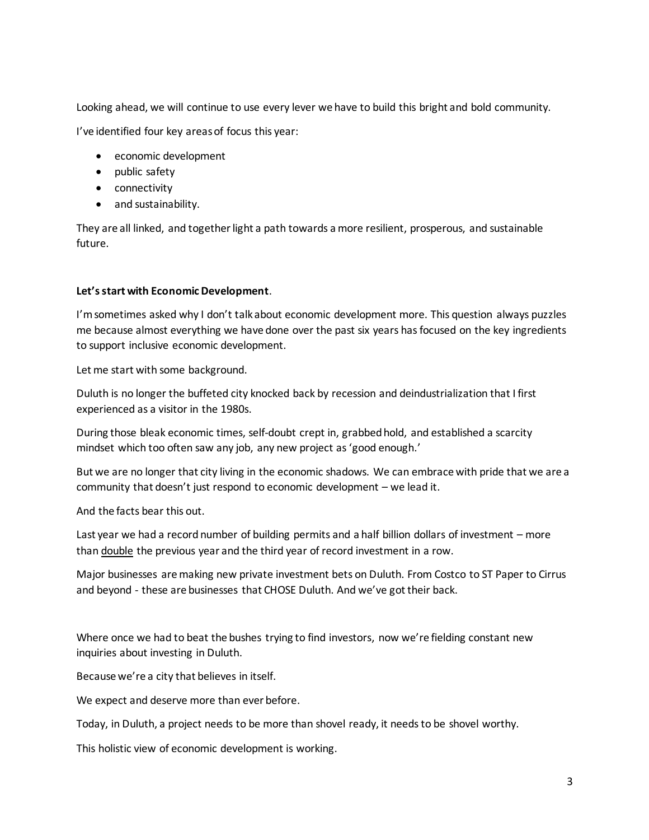Looking ahead, we will continue to use every lever we have to build this bright and bold community.

I've identified four key areas of focus this year:

- economic development
- public safety
- connectivity
- and sustainability.

They are all linked, and together light a path towards a more resilient, prosperous, and sustainable future.

# **Let's start with Economic Development**.

I'm sometimes asked why I don't talk about economic development more. This question always puzzles me because almost everything we have done over the past six years has focused on the key ingredients to support inclusive economic development.

Let me start with some background.

Duluth is no longer the buffeted city knocked back by recession and deindustrialization that I first experienced as a visitor in the 1980s.

During those bleak economic times, self-doubt crept in, grabbed hold, and established a scarcity mindset which too often saw any job, any new project as'good enough.'

But we are no longer that city living in the economic shadows. We can embrace with pride that we are a community that doesn't just respond to economic development – we lead it.

And the facts bear this out.

Last year we had a record number of building permits and a half billion dollars of investment – more than double the previous year and the third year of record investment in a row.

Major businesses are making new private investment bets on Duluth. From Costco to ST Paper to Cirrus and beyond - these are businesses that CHOSE Duluth. And we've got their back.

Where once we had to beat the bushes trying to find investors, now we're fielding constant new inquiries about investing in Duluth.

Because we're a city that believes in itself.

We expect and deserve more than ever before.

Today, in Duluth, a project needs to be more than shovel ready, it needs to be shovel worthy.

This holistic view of economic development is working.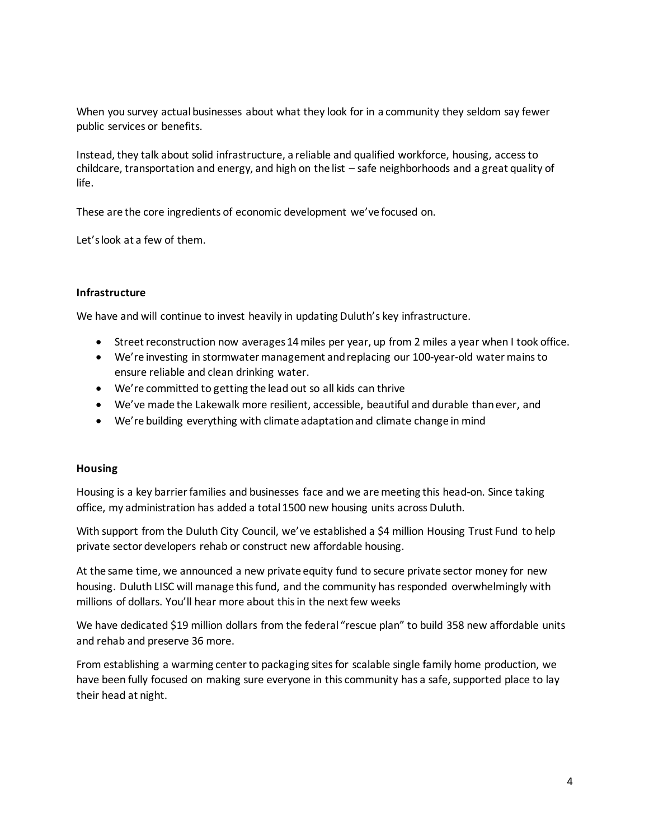When you survey actual businesses about what they look for in a community they seldom say fewer public services or benefits.

Instead, they talk about solid infrastructure, a reliable and qualified workforce, housing, access to childcare, transportation and energy, and high on the list – safe neighborhoods and a great quality of life.

These are the core ingredients of economic development we've focused on.

Let's look at a few of them.

#### **Infrastructure**

We have and will continue to invest heavily in updating Duluth's key infrastructure.

- Street reconstruction now averages14 miles per year, up from 2 miles a year when I took office.
- We're investing in stormwater management and replacing our 100-year-old water mainsto ensure reliable and clean drinking water.
- We're committed to getting the lead out so all kids can thrive
- We've made the Lakewalk more resilient, accessible, beautiful and durable than ever, and
- We're building everything with climate adaptation and climate change in mind

#### **Housing**

Housing is a key barrier families and businesses face and we are meeting this head-on. Since taking office, my administration has added a total 1500 new housing units across Duluth.

With support from the Duluth City Council, we've established a \$4 million Housing Trust Fund to help private sector developers rehab or construct new affordable housing.

At the same time, we announced a new private equity fund to secure private sector money for new housing. Duluth LISC will manage this fund, and the community has responded overwhelmingly with millions of dollars. You'll hear more about this in the next few weeks

We have dedicated \$19 million dollars from the federal "rescue plan" to build 358 new affordable units and rehab and preserve 36 more.

From establishing a warming center to packaging sites for scalable single family home production, we have been fully focused on making sure everyone in this community has a safe, supported place to lay their head at night.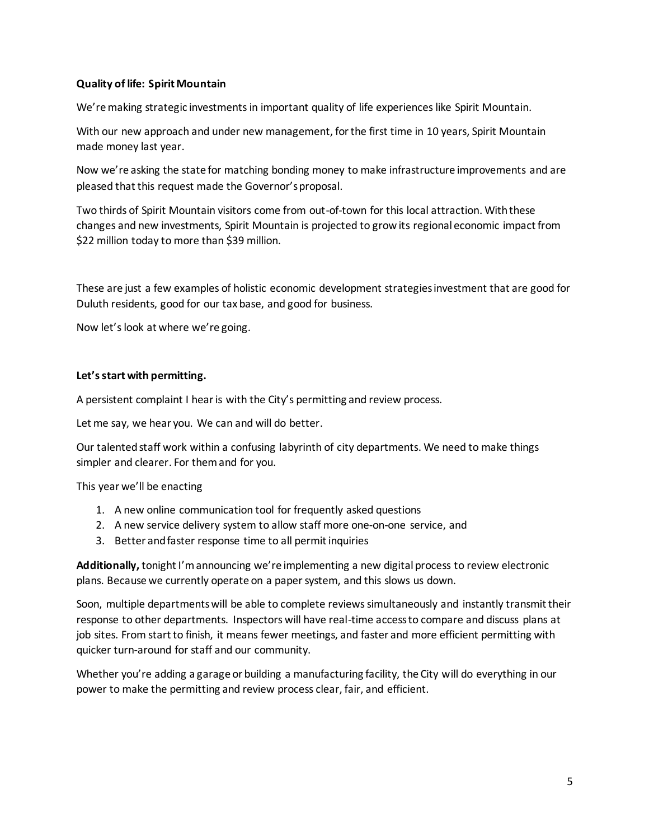# **Quality of life: Spirit Mountain**

We're making strategic investments in important quality of life experiences like Spirit Mountain.

With our new approach and under new management, for the first time in 10 years, Spirit Mountain made money last year.

Now we're asking the state for matching bonding money to make infrastructure improvements and are pleased that this request made the Governor's proposal.

Two thirds of Spirit Mountain visitors come from out-of-town for this local attraction. With these changes and new investments, Spirit Mountain is projected to grow its regional economic impact from \$22 million today to more than \$39 million.

These are just a few examples of holistic economic development strategies investment that are good for Duluth residents, good for our tax base, and good for business.

Now let's look at where we're going.

# **Let's start with permitting.**

A persistent complaint I hear is with the City's permitting and review process.

Let me say, we hear you. We can and will do better.

Our talented staff work within a confusing labyrinth of city departments. We need to make things simpler and clearer. For them and for you.

This year we'll be enacting

- 1. A new online communication tool for frequently asked questions
- 2. A new service delivery system to allow staff more one-on-one service, and
- 3. Better and faster response time to all permit inquiries

**Additionally,** tonight I'm announcing we're implementing a new digital process to review electronic plans. Because we currently operate on a paper system, and this slows us down.

Soon, multiple departments will be able to complete reviews simultaneously and instantly transmit their response to other departments. Inspectors will have real-time access to compare and discuss plans at job sites. From start to finish, it means fewer meetings, and faster and more efficient permitting with quicker turn-around for staff and our community.

Whether you're adding a garage or building a manufacturing facility, the City will do everything in our power to make the permitting and review process clear, fair, and efficient.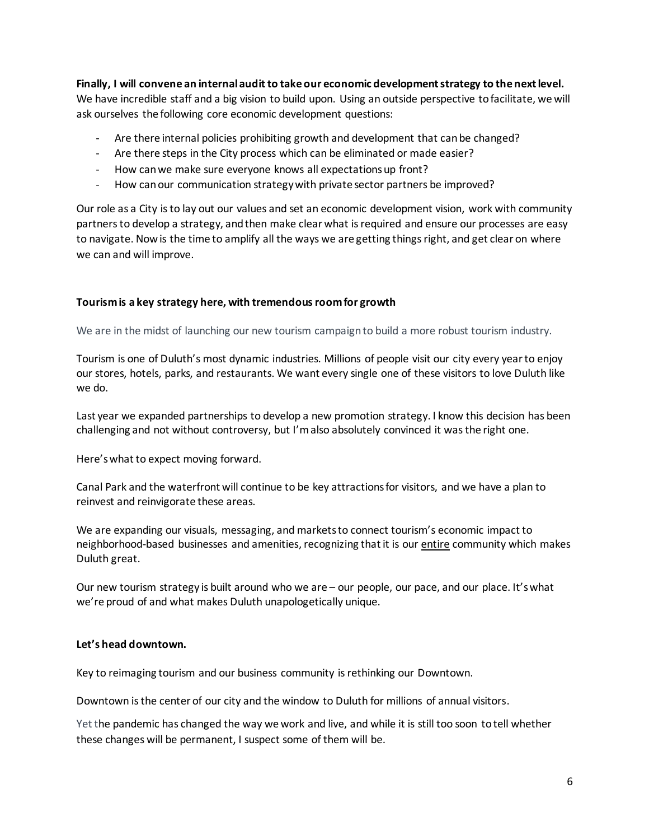# **Finally, I will convene an internal audit to take our economic development strategy to the next level.**

We have incredible staff and a big vision to build upon. Using an outside perspective to facilitate, we will ask ourselves the following core economic development questions:

- Are there internal policies prohibiting growth and development that can be changed?
- Are there steps in the City process which can be eliminated or made easier?
- How can we make sure everyone knows all expectations up front?
- How canour communication strategy with private sector partners be improved?

Our role as a City is to lay out our values and set an economic development vision, work with community partners to develop a strategy, and then make clear what is required and ensure our processes are easy to navigate. Now is the time to amplify all the ways we are getting things right, and get clear on where we can and will improve.

#### **Tourismis a key strategy here, with tremendous room for growth**

We are in the midst of launching our new tourism campaign to build a more robust tourism industry.

Tourism is one of Duluth's most dynamic industries. Millions of people visit our city every year to enjoy our stores, hotels, parks, and restaurants. We want every single one of these visitors to love Duluth like we do.

Last year we expanded partnerships to develop a new promotion strategy. I know this decision has been challenging and not without controversy, but I'm also absolutely convinced it wasthe right one.

Here's what to expect moving forward.

Canal Park and the waterfront will continue to be key attractions for visitors, and we have a plan to reinvest and reinvigorate these areas.

We are expanding our visuals, messaging, and markets to connect tourism's economic impact to neighborhood-based businesses and amenities, recognizing that it is our entire community which makes Duluth great.

Our new tourism strategy is built around who we are – our people, our pace, and our place. It's what we're proud of and what makes Duluth unapologetically unique.

#### **Let's head downtown.**

Key to reimaging tourism and our business community is rethinking our Downtown.

Downtown is the center of our city and the window to Duluth for millions of annual visitors.

Yet the pandemic has changed the way we work and live, and while it is still too soon to tell whether these changes will be permanent, I suspect some of them will be.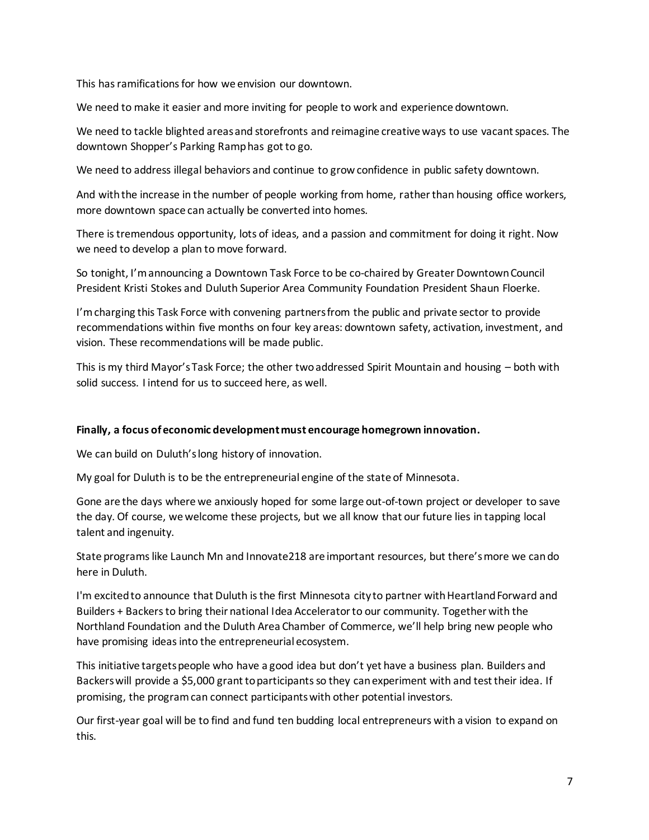This has ramifications for how we envision our downtown.

We need to make it easier and more inviting for people to work and experience downtown.

We need to tackle blighted areas and storefronts and reimagine creative ways to use vacant spaces. The downtown Shopper's Parking Ramp has got to go.

We need to address illegal behaviors and continue to grow confidence in public safety downtown.

And with the increase in the number of people working from home, rather than housing office workers, more downtown space can actually be converted into homes.

There is tremendous opportunity, lots of ideas, and a passion and commitment for doing it right. Now we need to develop a plan to move forward.

So tonight, I'm announcing a Downtown Task Force to be co-chaired by Greater Downtown Council President Kristi Stokes and Duluth Superior Area Community Foundation President Shaun Floerke.

I'm charging this Task Force with convening partners from the public and private sector to provide recommendations within five months on four key areas: downtown safety, activation, investment, and vision. These recommendations will be made public.

This is my third Mayor's Task Force; the other two addressed Spirit Mountain and housing – both with solid success. I intend for us to succeed here, as well.

#### **Finally, a focus of economic development must encourage homegrown innovation.**

We can build on Duluth'slong history of innovation.

My goal for Duluth is to be the entrepreneurial engine of the state of Minnesota.

Gone are the days where we anxiously hoped for some large out-of-town project or developer to save the day. Of course, we welcome these projects, but we all know that our future lies in tapping local talent and ingenuity.

State programs like Launch Mn and Innovate218 are important resources, but there's more we can do here in Duluth.

I'm excited to announce that Duluth is the first Minnesota city to partner with Heartland Forward and Builders + Backers to bring their national Idea Accelerator to our community. Together with the Northland Foundation and the Duluth Area Chamber of Commerce, we'll help bring new people who have promising ideas into the entrepreneurial ecosystem.

This initiative targets people who have a good idea but don't yet have a business plan. Builders and Backers will provide a \$5,000 grant to participants so they can experiment with and test their idea. If promising, the program can connect participants with other potential investors.

Our first-year goal will be to find and fund ten budding local entrepreneurs with a vision to expand on this.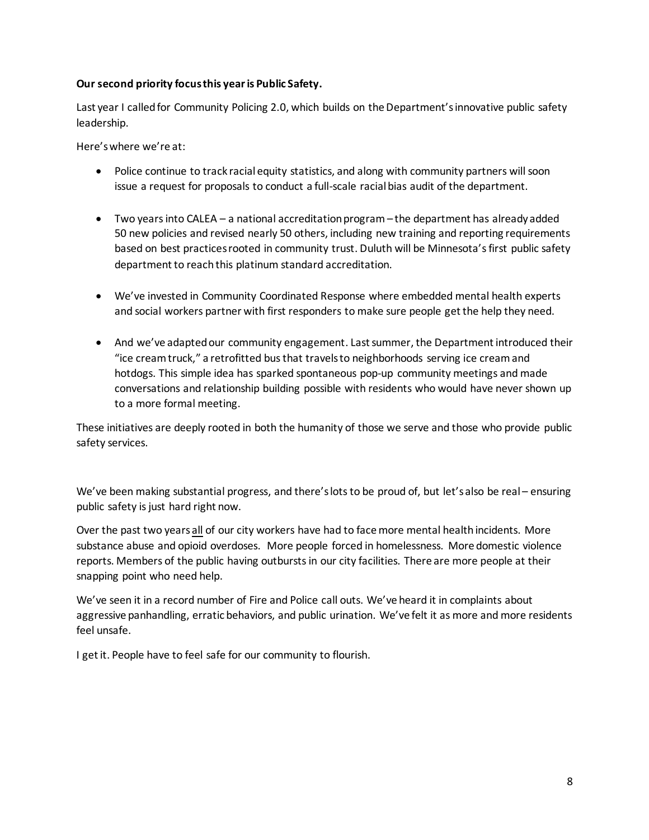# **Our second priority focus this year is Public Safety.**

Last year I calledfor Community Policing 2.0, which builds on the Department's innovative public safety leadership.

Here's where we're at:

- Police continue to track racial equity statistics, and along with community partners will soon issue a request for proposals to conduct a full-scale racial bias audit of the department.
- Two years into CALEA a national accreditation program the department has already added 50 new policies and revised nearly 50 others, including new training and reporting requirements based on best practices rooted in community trust. Duluth will be Minnesota's first public safety department to reach this platinum standard accreditation.
- We've invested in Community Coordinated Response where embedded mental health experts and social workers partner with first responders to make sure people get the help they need.
- And we've adapted our community engagement. Last summer, the Department introduced their "ice cream truck," a retrofitted bus that travelsto neighborhoods serving ice creamand hotdogs. This simple idea has sparked spontaneous pop-up community meetings and made conversations and relationship building possible with residents who would have never shown up to a more formal meeting.

These initiatives are deeply rooted in both the humanity of those we serve and those who provide public safety services.

We've been making substantial progress, and there's lots to be proud of, but let's also be real – ensuring public safety is just hard right now.

Over the past two years all of our city workers have had to face more mental health incidents. More substance abuse and opioid overdoses. More people forced in homelessness. More domestic violence reports. Members of the public having outbursts in our city facilities. There are more people at their snapping point who need help.

We've seen it in a record number of Fire and Police call outs. We've heard it in complaints about aggressive panhandling, erratic behaviors, and public urination. We've felt it as more and more residents feel unsafe.

I get it. People have to feel safe for our community to flourish.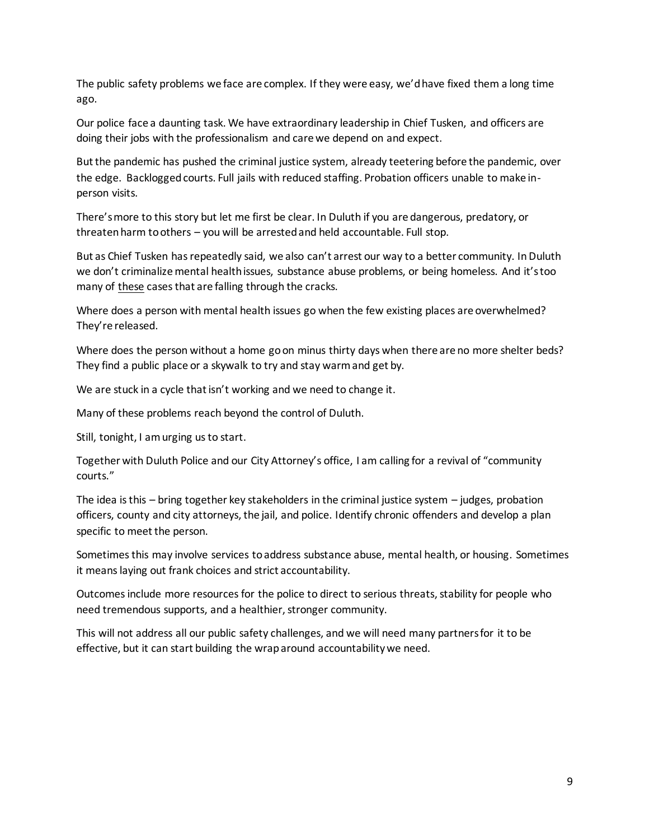The public safety problems we face are complex. If they were easy, we'd have fixed them a long time ago.

Our police face a daunting task. We have extraordinary leadership in Chief Tusken, and officers are doing their jobs with the professionalism and care we depend on and expect.

But the pandemic has pushed the criminal justice system, already teetering before the pandemic, over the edge. Backlogged courts. Full jails with reduced staffing. Probation officers unable to make inperson visits.

There's more to this story but let me first be clear. In Duluth if you are dangerous, predatory, or threaten harm to others – you will be arrested and held accountable. Full stop.

But as Chief Tusken has repeatedly said, we also can't arrest our way to a better community. In Duluth we don't criminalize mental health issues, substance abuse problems, or being homeless. And it's too many of these cases that are falling through the cracks.

Where does a person with mental health issues go when the few existing places are overwhelmed? They're released.

Where does the person without a home go on minus thirty days when there are no more shelter beds? They find a public place or a skywalk to try and stay warm and get by.

We are stuck in a cycle that isn't working and we need to change it.

Many of these problems reach beyond the control of Duluth.

Still, tonight, I am urging us to start.

Together with Duluth Police and our City Attorney's office, I am calling for a revival of "community courts."

The idea is this – bring together key stakeholders in the criminal justice system – judges, probation officers, county and city attorneys, the jail, and police. Identify chronic offenders and develop a plan specific to meet the person.

Sometimes this may involve services to address substance abuse, mental health, or housing. Sometimes it means laying out frank choices and strict accountability.

Outcomesinclude more resources for the police to direct to serious threats, stability for people who need tremendous supports, and a healthier, stronger community.

This will not address all our public safety challenges, and we will need many partners for it to be effective, but it can start building the wrap around accountability we need.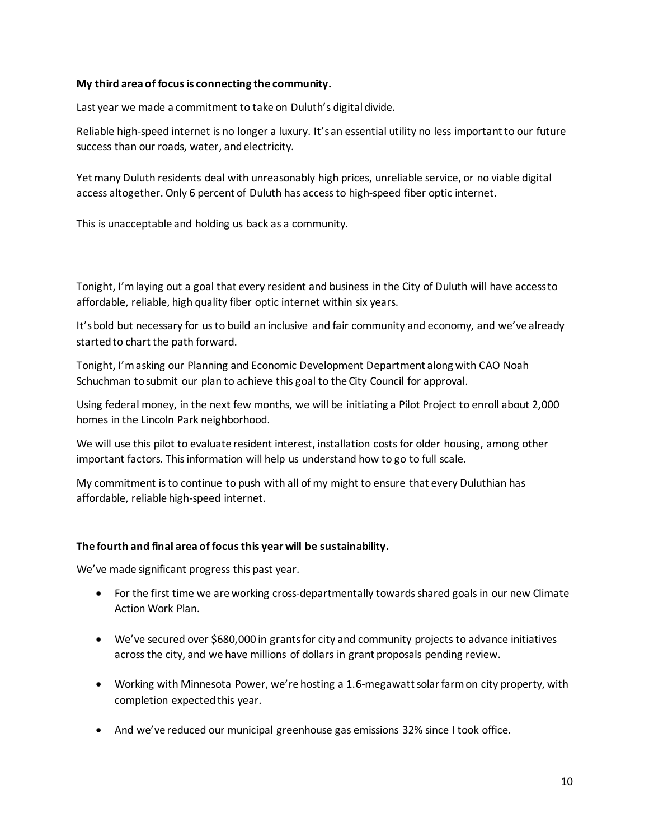#### **My third area of focus is connecting the community.**

Last year we made a commitment to take on Duluth's digital divide.

Reliable high-speed internet is no longer a luxury. It's an essential utility no less important to our future success than our roads, water, and electricity.

Yet many Duluth residents deal with unreasonably high prices, unreliable service, or no viable digital access altogether. Only 6 percent of Duluth has access to high-speed fiber optic internet.

This is unacceptable and holding us back as a community.

Tonight, I'm laying out a goal that every resident and business in the City of Duluth will have access to affordable, reliable, high quality fiber optic internet within six years.

It's bold but necessary for us to build an inclusive and fair community and economy, and we've already started to chart the path forward.

Tonight, I'm asking our Planning and Economic Development Department along with CAO Noah Schuchman to submit our plan to achieve this goal to the City Council for approval.

Using federal money, in the next few months, we will be initiating a Pilot Project to enroll about 2,000 homes in the Lincoln Park neighborhood.

We will use this pilot to evaluate resident interest, installation costs for older housing, among other important factors. This information will help us understand how to go to full scale.

My commitment is to continue to push with all of my might to ensure that every Duluthian has affordable, reliable high-speed internet.

# **The fourth and final area of focus this year will be sustainability.**

We've made significant progress this past year.

- For the first time we are working cross-departmentally towards shared goals in our new Climate Action Work Plan.
- We've secured over \$680,000 in grants for city and community projects to advance initiatives across the city, and we have millions of dollars in grant proposals pending review.
- Working with Minnesota Power, we're hosting a 1.6-megawatt solar farm on city property, with completion expected this year.
- And we've reduced our municipal greenhouse gas emissions 32% since I took office.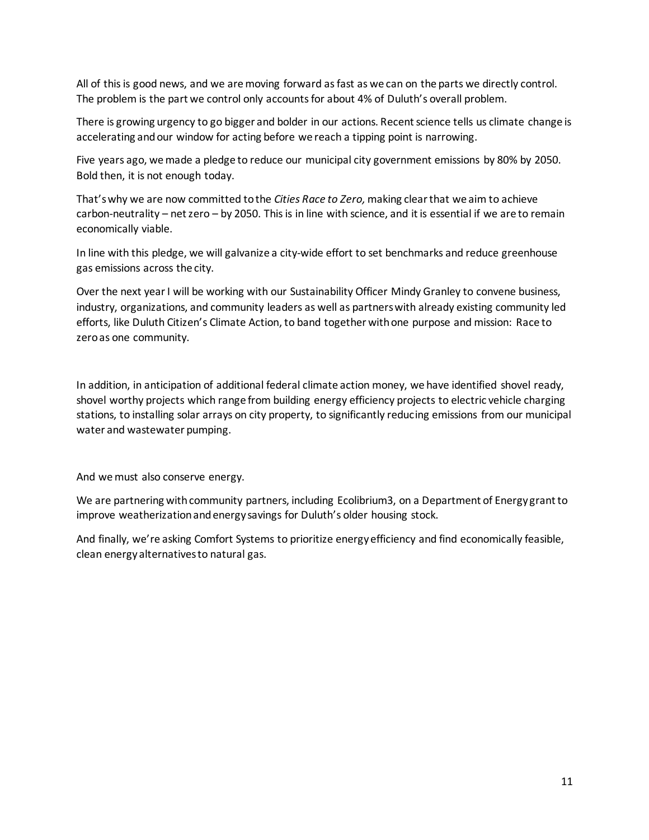All of this is good news, and we aremoving forward as fast as we can on the parts we directly control. The problem is the part we control only accounts for about 4% of Duluth's overall problem.

There is growing urgency to go bigger and bolder in our actions. Recent science tells us climate change is accelerating and our window for acting before we reach a tipping point is narrowing.

Five years ago, we made a pledge to reduce our municipal city government emissions by 80% by 2050. Bold then, it is not enough today.

That's why we are now committed to the *Cities Race to Zero,* making clear that we aim to achieve carbon-neutrality – net zero – by 2050. This is in line with science, and it is essential if we are to remain economically viable.

In line with this pledge, we will galvanize a city-wide effort to set benchmarks and reduce greenhouse gas emissions across the city.

Over the next year I will be working with our Sustainability Officer Mindy Granley to convene business, industry, organizations, and community leaders as well as partnerswith already existing community led efforts, like Duluth Citizen's Climate Action, to band together with one purpose and mission: Race to zero as one community.

In addition, in anticipation of additional federal climate action money, we have identified shovel ready, shovel worthy projects which range from building energy efficiency projects to electric vehicle charging stations, to installing solar arrays on city property, to significantly reducing emissions from our municipal water and wastewater pumping.

And we must also conserve energy.

We are partnering with community partners, including Ecolibrium3, on a Department of Energy grant to improve weatherization and energy savings for Duluth's older housing stock.

And finally, we're asking Comfort Systems to prioritize energy efficiency and find economically feasible, clean energy alternatives to natural gas.